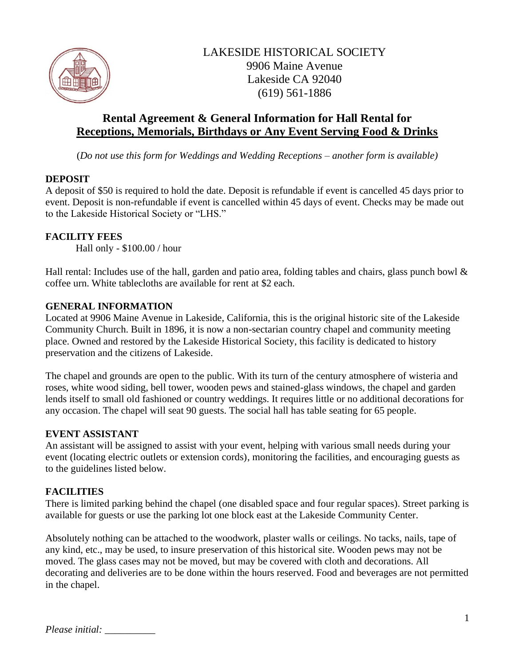

# **Rental Agreement & General Information for Hall Rental for Receptions, Memorials, Birthdays or Any Event Serving Food & Drinks**

(*Do not use this form for Weddings and Wedding Receptions – another form is available)*

### **DEPOSIT**

A deposit of \$50 is required to hold the date. Deposit is refundable if event is cancelled 45 days prior to event. Deposit is non-refundable if event is cancelled within 45 days of event. Checks may be made out to the Lakeside Historical Society or "LHS."

### **FACILITY FEES**

Hall only - \$100.00 / hour

Hall rental: Includes use of the hall, garden and patio area, folding tables and chairs, glass punch bowl & coffee urn. White tablecloths are available for rent at \$2 each.

#### **GENERAL INFORMATION**

Located at 9906 Maine Avenue in Lakeside, California, this is the original historic site of the Lakeside Community Church. Built in 1896, it is now a non-sectarian country chapel and community meeting place. Owned and restored by the Lakeside Historical Society, this facility is dedicated to history preservation and the citizens of Lakeside.

The chapel and grounds are open to the public. With its turn of the century atmosphere of wisteria and roses, white wood siding, bell tower, wooden pews and stained-glass windows, the chapel and garden lends itself to small old fashioned or country weddings. It requires little or no additional decorations for any occasion. The chapel will seat 90 guests. The social hall has table seating for 65 people.

#### **EVENT ASSISTANT**

An assistant will be assigned to assist with your event, helping with various small needs during your event (locating electric outlets or extension cords), monitoring the facilities, and encouraging guests as to the guidelines listed below.

#### **FACILITIES**

There is limited parking behind the chapel (one disabled space and four regular spaces). Street parking is available for guests or use the parking lot one block east at the Lakeside Community Center.

Absolutely nothing can be attached to the woodwork, plaster walls or ceilings. No tacks, nails, tape of any kind, etc., may be used, to insure preservation of this historical site. Wooden pews may not be moved. The glass cases may not be moved, but may be covered with cloth and decorations. All decorating and deliveries are to be done within the hours reserved. Food and beverages are not permitted in the chapel.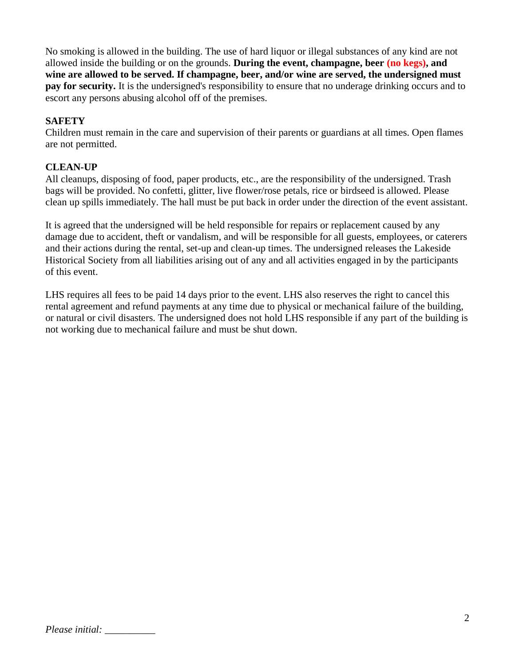No smoking is allowed in the building. The use of hard liquor or illegal substances of any kind are not allowed inside the building or on the grounds. **During the event, champagne, beer (no kegs), and wine are allowed to be served. If champagne, beer, and/or wine are served, the undersigned must pay for security.** It is the undersigned's responsibility to ensure that no underage drinking occurs and to escort any persons abusing alcohol off of the premises.

## **SAFETY**

Children must remain in the care and supervision of their parents or guardians at all times. Open flames are not permitted.

## **CLEAN-UP**

All cleanups, disposing of food, paper products, etc., are the responsibility of the undersigned. Trash bags will be provided. No confetti, glitter, live flower/rose petals, rice or birdseed is allowed. Please clean up spills immediately. The hall must be put back in order under the direction of the event assistant.

It is agreed that the undersigned will be held responsible for repairs or replacement caused by any damage due to accident, theft or vandalism, and will be responsible for all guests, employees, or caterers and their actions during the rental, set-up and clean-up times. The undersigned releases the Lakeside Historical Society from all liabilities arising out of any and all activities engaged in by the participants of this event.

LHS requires all fees to be paid 14 days prior to the event. LHS also reserves the right to cancel this rental agreement and refund payments at any time due to physical or mechanical failure of the building, or natural or civil disasters. The undersigned does not hold LHS responsible if any part of the building is not working due to mechanical failure and must be shut down.